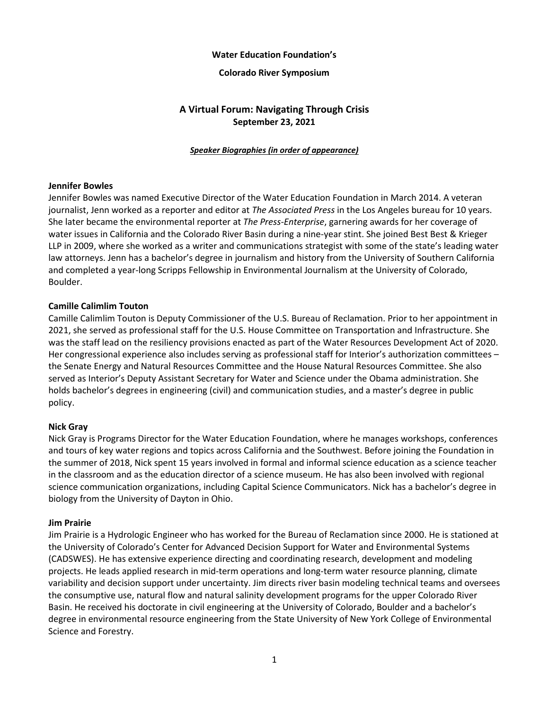### **Water Education Foundation's**

#### **Colorado River Symposium**

# **A Virtual Forum: Navigating Through Crisis September 23, 2021**

#### *Speaker Biographies (in order of appearance)*

### **Jennifer Bowles**

Jennifer Bowles was named Executive Director of the Water Education Foundation in March 2014. A veteran journalist, Jenn worked as a reporter and editor at *The Associated Press* in the Los Angeles bureau for 10 years. She later became the environmental reporter at *The Press-Enterprise*, garnering awards for her coverage of water issues in California and the Colorado River Basin during a nine-year stint. She joined Best Best & Krieger LLP in 2009, where she worked as a writer and communications strategist with some of the state's leading water law attorneys. Jenn has a bachelor's degree in journalism and history from the University of Southern California and completed a year-long Scripps Fellowship in Environmental Journalism at the University of Colorado, Boulder.

### **Camille Calimlim Touton**

Camille Calimlim Touton is Deputy Commissioner of the U.S. Bureau of Reclamation. Prior to her appointment in 2021, she served as professional staff for the U.S. House Committee on Transportation and Infrastructure. She was the staff lead on the resiliency provisions enacted as part of the Water Resources Development Act of 2020. Her congressional experience also includes serving as professional staff for Interior's authorization committees – the Senate Energy and Natural Resources Committee and the House Natural Resources Committee. She also served as Interior's Deputy Assistant Secretary for Water and Science under the Obama administration. She holds bachelor's degrees in engineering (civil) and communication studies, and a master's degree in public policy.

#### **Nick Gray**

Nick Gray is Programs Director for the Water Education Foundation, where he manages workshops, conferences and tours of key water regions and topics across California and the Southwest. Before joining the Foundation in the summer of 2018, Nick spent 15 years involved in formal and informal science education as a science teacher in the classroom and as the education director of a science museum. He has also been involved with regional science communication organizations, including Capital Science Communicators. Nick has a bachelor's degree in biology from the University of Dayton in Ohio.

#### **Jim Prairie**

Jim Prairie is a Hydrologic Engineer who has worked for the Bureau of Reclamation since 2000. He is stationed at the University of Colorado's Center for Advanced Decision Support for Water and Environmental Systems (CADSWES). He has extensive experience directing and coordinating research, development and modeling projects. He leads applied research in mid-term operations and long-term water resource planning, climate variability and decision support under uncertainty. Jim directs river basin modeling technical teams and oversees the consumptive use, natural flow and natural salinity development programs for the upper Colorado River Basin. He received his doctorate in civil engineering at the University of Colorado, Boulder and a bachelor's degree in environmental resource engineering from the State University of New York College of Environmental Science and Forestry.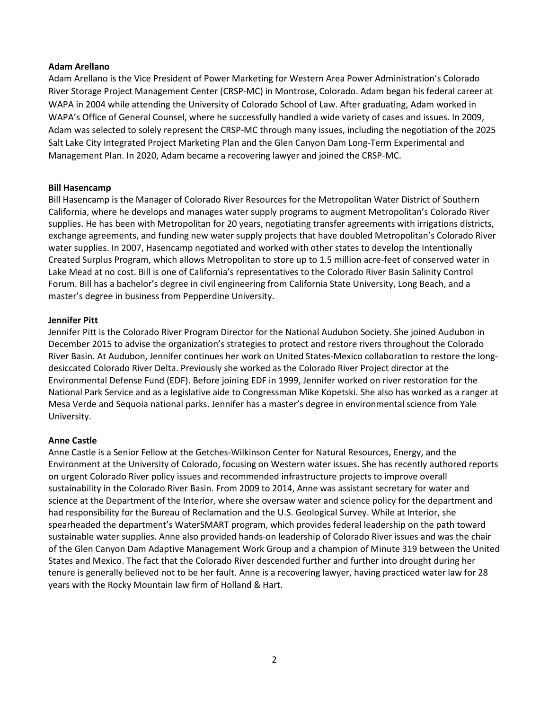### **Adam Arellano**

Adam Arellano is the Vice President of Power Marketing for Western Area Power Administration's Colorado River Storage Project Management Center (CRSP-MC) in Montrose, Colorado. Adam began his federal career at WAPA in 2004 while attending the University of Colorado School of Law. After graduating, Adam worked in WAPA's Office of General Counsel, where he successfully handled a wide variety of cases and issues. In 2009, Adam was selected to solely represent the CRSP-MC through many issues, including the negotiation of the 2025 Salt Lake City Integrated Project Marketing Plan and the Glen Canyon Dam Long-Term Experimental and Management Plan. In 2020, Adam became a recovering lawyer and joined the CRSP-MC.

### **Bill Hasencamp**

Bill Hasencamp is the Manager of Colorado River Resources for the Metropolitan Water District of Southern California, where he develops and manages water supply programs to augment Metropolitan's Colorado River supplies. He has been with Metropolitan for 20 years, negotiating transfer agreements with irrigations districts, exchange agreements, and funding new water supply projects that have doubled Metropolitan's Colorado River water supplies. In 2007, Hasencamp negotiated and worked with other states to develop the Intentionally Created Surplus Program, which allows Metropolitan to store up to 1.5 million acre-feet of conserved water in Lake Mead at no cost. Bill is one of California's representatives to the Colorado River Basin Salinity Control Forum. Bill has a bachelor's degree in civil engineering from California State University, Long Beach, and a master's degree in business from Pepperdine University.

### **Jennifer Pitt**

Jennifer Pitt is the Colorado River Program Director for the National Audubon Society. She joined Audubon in December 2015 to advise the organization's strategies to protect and restore rivers throughout the Colorado River Basin. At Audubon, Jennifer continues her work on United States-Mexico collaboration to restore the longdesiccated Colorado River Delta. Previously she worked as the Colorado River Project director at the Environmental Defense Fund (EDF). Before joining EDF in 1999, Jennifer worked on river restoration for the National Park Service and as a legislative aide to Congressman Mike Kopetski. She also has worked as a ranger at Mesa Verde and Sequoia national parks. Jennifer has a master's degree in environmental science from Yale University.

## **Anne Castle**

Anne Castle is a Senior Fellow at the Getches-Wilkinson Center for Natural Resources, Energy, and the Environment at the University of Colorado, focusing on Western water issues. She has recently authored reports on urgent Colorado River policy issues and recommended infrastructure projects to improve overall sustainability in the Colorado River Basin. From 2009 to 2014, Anne was assistant secretary for water and science at the Department of the Interior, where she oversaw water and science policy for the department and had responsibility for the Bureau of Reclamation and the U.S. Geological Survey. While at Interior, she spearheaded the department's WaterSMART program, which provides federal leadership on the path toward sustainable water supplies. Anne also provided hands-on leadership of Colorado River issues and was the chair of the Glen Canyon Dam Adaptive Management Work Group and a champion of Minute 319 between the United States and Mexico. The fact that the Colorado River descended further and further into drought during her tenure is generally believed not to be her fault. Anne is a recovering lawyer, having practiced water law for 28 years with the Rocky Mountain law firm of Holland & Hart.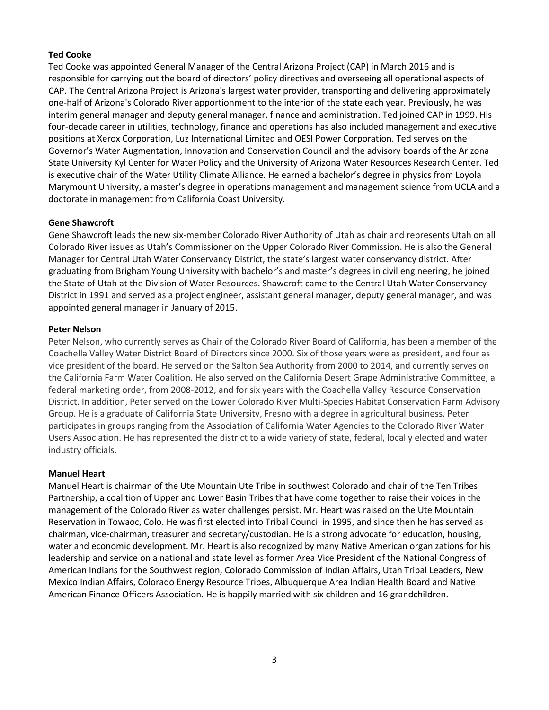## **Ted Cooke**

Ted Cooke was appointed General Manager of the Central Arizona Project (CAP) in March 2016 and is responsible for carrying out the board of directors' policy directives and overseeing all operational aspects of CAP. The Central Arizona Project is Arizona's largest water provider, transporting and delivering approximately one-half of Arizona's Colorado River apportionment to the interior of the state each year. Previously, he was interim general manager and deputy general manager, finance and administration. Ted joined CAP in 1999. His four-decade career in utilities, technology, finance and operations has also included management and executive positions at Xerox Corporation, Luz International Limited and OESI Power Corporation. Ted serves on the Governor's Water Augmentation, Innovation and Conservation Council and the advisory boards of the Arizona State University Kyl Center for Water Policy and the University of Arizona Water Resources Research Center. Ted is executive chair of the Water Utility Climate Alliance. He earned a bachelor's degree in physics from Loyola Marymount University, a master's degree in operations management and management science from UCLA and a doctorate in management from California Coast University.

## **Gene Shawcroft**

Gene Shawcroft leads the new six-member Colorado River Authority of Utah as chair and represents Utah on all Colorado River issues as Utah's Commissioner on the Upper Colorado River Commission. He is also the General Manager for Central Utah Water Conservancy District, the state's largest water conservancy district. After graduating from Brigham Young University with bachelor's and master's degrees in civil engineering, he joined the State of Utah at the Division of Water Resources. Shawcroft came to the Central Utah Water Conservancy District in 1991 and served as a project engineer, assistant general manager, deputy general manager, and was appointed general manager in January of 2015.

## **Peter Nelson**

Peter Nelson, who currently serves as Chair of the Colorado River Board of California, has been a member of the Coachella Valley Water District Board of Directors since 2000. Six of those years were as president, and four as vice president of the board. He served on the Salton Sea Authority from 2000 to 2014, and currently serves on the California Farm Water Coalition. He also served on the California Desert Grape Administrative Committee, a federal marketing order, from 2008-2012, and for six years with the Coachella Valley Resource Conservation District. In addition, Peter served on the Lower Colorado River Multi-Species Habitat Conservation Farm Advisory Group. He is a graduate of California State University, Fresno with a degree in agricultural business. Peter participates in groups ranging from the Association of California Water Agencies to the Colorado River Water Users Association. He has represented the district to a wide variety of state, federal, locally elected and water industry officials.

## **Manuel Heart**

Manuel Heart is chairman of the Ute Mountain Ute Tribe in southwest Colorado and chair of the Ten Tribes Partnership, a coalition of Upper and Lower Basin Tribes that have come together to raise their voices in the management of the Colorado River as water challenges persist. Mr. Heart was raised on the Ute Mountain Reservation in Towaoc, Colo. He was first elected into Tribal Council in 1995, and since then he has served as chairman, vice-chairman, treasurer and secretary/custodian. He is a strong advocate for education, housing, water and economic development. Mr. Heart is also recognized by many Native American organizations for his leadership and service on a national and state level as former Area Vice President of the National Congress of American Indians for the Southwest region, Colorado Commission of Indian Affairs, Utah Tribal Leaders, New Mexico Indian Affairs, Colorado Energy Resource Tribes, Albuquerque Area Indian Health Board and Native American Finance Officers Association. He is happily married with six children and 16 grandchildren.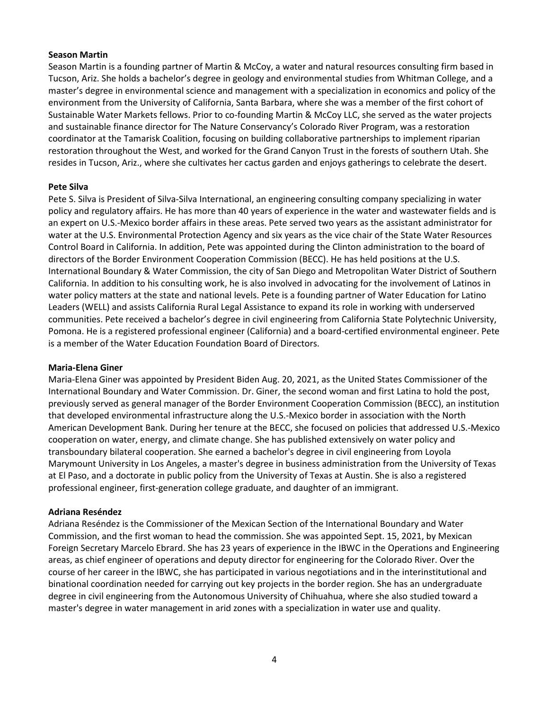### **Season Martin**

Season Martin is a founding partner of Martin & McCoy, a water and natural resources consulting firm based in Tucson, Ariz. She holds a bachelor's degree in geology and environmental studies from Whitman College, and a master's degree in environmental science and management with a specialization in economics and policy of the environment from the University of California, Santa Barbara, where she was a member of the first cohort of Sustainable Water Markets fellows. Prior to co-founding Martin & McCoy LLC, she served as the water projects and sustainable finance director for The Nature Conservancy's Colorado River Program, was a restoration coordinator at the Tamarisk Coalition, focusing on building collaborative partnerships to implement riparian restoration throughout the West, and worked for the Grand Canyon Trust in the forests of southern Utah. She resides in Tucson, Ariz., where she cultivates her cactus garden and enjoys gatherings to celebrate the desert.

## **Pete Silva**

Pete S. Silva is President of Silva-Silva International, an engineering consulting company specializing in water policy and regulatory affairs. He has more than 40 years of experience in the water and wastewater fields and is an expert on U.S.-Mexico border affairs in these areas. Pete served two years as the assistant administrator for water at the U.S. Environmental Protection Agency and six years as the vice chair of the State Water Resources Control Board in California. In addition, Pete was appointed during the Clinton administration to the board of directors of the Border Environment Cooperation Commission (BECC). He has held positions at the U.S. International Boundary & Water Commission, the city of San Diego and Metropolitan Water District of Southern California. In addition to his consulting work, he is also involved in advocating for the involvement of Latinos in water policy matters at the state and national levels. Pete is a founding partner of Water Education for Latino Leaders (WELL) and assists California Rural Legal Assistance to expand its role in working with underserved communities. Pete received a bachelor's degree in civil engineering from California State Polytechnic University, Pomona. He is a registered professional engineer (California) and a board-certified environmental engineer. Pete is a member of the Water Education Foundation Board of Directors.

#### **Maria-Elena Giner**

Maria-Elena Giner was appointed by President Biden Aug. 20, 2021, as the United States Commissioner of the International Boundary and Water Commission. Dr. Giner, the second woman and first Latina to hold the post, previously served as general manager of the Border Environment Cooperation Commission (BECC), an institution that developed environmental infrastructure along the U.S.-Mexico border in association with the North American Development Bank. During her tenure at the BECC, she focused on policies that addressed U.S.-Mexico cooperation on water, energy, and climate change. She has published extensively on water policy and transboundary bilateral cooperation. She earned a bachelor's degree in civil engineering from Loyola Marymount University in Los Angeles, a master's degree in business administration from the University of Texas at El Paso, and a doctorate in public policy from the University of Texas at Austin. She is also a registered professional engineer, first-generation college graduate, and daughter of an immigrant.

#### **Adriana Reséndez**

Adriana Reséndez is the Commissioner of the Mexican Section of the International Boundary and Water Commission, and the first woman to head the commission. She was appointed Sept. 15, 2021, by Mexican Foreign Secretary Marcelo Ebrard. She has 23 years of experience in the IBWC in the Operations and Engineering areas, as chief engineer of operations and deputy director for engineering for the Colorado River. Over the course of her career in the IBWC, she has participated in various negotiations and in the interinstitutional and binational coordination needed for carrying out key projects in the border region. She has an undergraduate degree in civil engineering from the Autonomous University of Chihuahua, where she also studied toward a master's degree in water management in arid zones with a specialization in water use and quality.